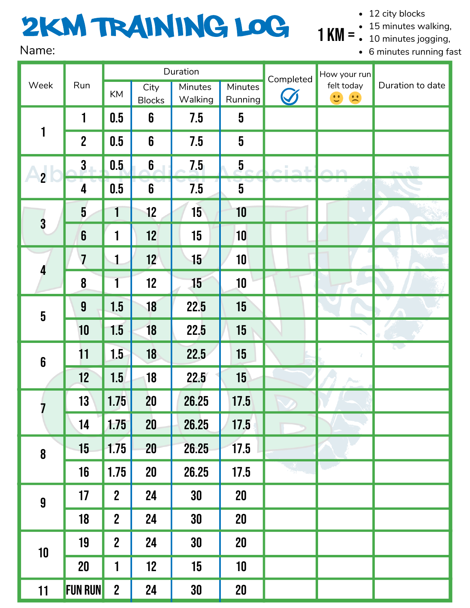## 2km Training Log Name:

• 12 city blocks

minutes walking,

KM =  $\frac{1}{2}$  10 minutes jogging,

minutes running fast

| Week                                                     | Run                     | Duration         |                       |                    |                         | Completed | How your run                            |                  |
|----------------------------------------------------------|-------------------------|------------------|-----------------------|--------------------|-------------------------|-----------|-----------------------------------------|------------------|
|                                                          |                         | KM               | City<br><b>Blocks</b> | Minutes<br>Walking | Minutes<br>Running      |           | felt today<br>$\mathbf{C}$ $\mathbf{C}$ | Duration to date |
| 1                                                        | 1                       | 0.5              | $6\phantom{1}$        | 7.5                | $\overline{5}$          |           |                                         |                  |
|                                                          | $\overline{2}$          | 0.5              | $\boldsymbol{6}$      | 7.5                | $\overline{5}$          |           |                                         |                  |
| $\begin{array}{c} \n \text{2} \\ \text{2}\n \end{array}$ | $\mathbf{3}$            | 0.5              | 6                     | 7.5                | $\overline{\mathbf{5}}$ |           |                                         |                  |
|                                                          | 4                       | 0.5              | $\boldsymbol{6}$      | 7.5                | $\overline{5}$          |           |                                         |                  |
| $\overline{\mathbf{3}}$                                  | $\overline{5}$          | $\mathbf{1}$     | 12                    | 15                 | 10                      |           |                                         |                  |
|                                                          | $\boldsymbol{6}$        | 1                | 12                    | 15                 | 10                      |           |                                         |                  |
| 4                                                        | $\overline{\mathbf{7}}$ | 1                | 12                    | 15 <sub>15</sub>   | 10                      |           |                                         |                  |
|                                                          | 8                       | 1                | 12                    | 15                 | 10                      |           |                                         |                  |
| $\overline{\mathbf{5}}$                                  | $\boldsymbol{9}$        | 1.5              | 18                    | 22.5               | 15                      |           |                                         |                  |
|                                                          | 10                      | 1.5              | 18                    | 22.5               | 15                      |           |                                         |                  |
| $\boldsymbol{6}$                                         | 11                      | 1.5              | 18                    | 22.5               | 15                      |           |                                         | $\sim$           |
|                                                          | 12                      | 1.5              | 18                    | 22.5               | 15                      |           | Aus                                     |                  |
|                                                          | 13                      | 1.75             | 20                    | 26.25              | 17.5                    |           |                                         |                  |
|                                                          | 14                      | 1.75             | 20                    | 26.25              | 17.5                    |           |                                         |                  |
| $\boldsymbol{8}$                                         | 15                      | 1.75             | 20                    | 26.25              | 17.5                    |           |                                         |                  |
|                                                          | 16                      | 1.75             | 20                    | 26.25              | 17.5                    |           |                                         |                  |
| $\boldsymbol{9}$                                         | 17                      | $\mathbf{2}$     | 24                    | 30                 | 20                      |           |                                         |                  |
|                                                          | 18                      | $\mathbf{2}$     | 24                    | 30                 | 20                      |           |                                         |                  |
| $10$                                                     | 19                      | $\boldsymbol{2}$ | 24                    | 30                 | 20                      |           |                                         |                  |
|                                                          | $20\,$                  | 1                | 12                    | 15                 | 10                      |           |                                         |                  |
| 11                                                       | <b>FUN RUN</b>          | $\boldsymbol{2}$ | 24                    | 30                 | 20                      |           |                                         |                  |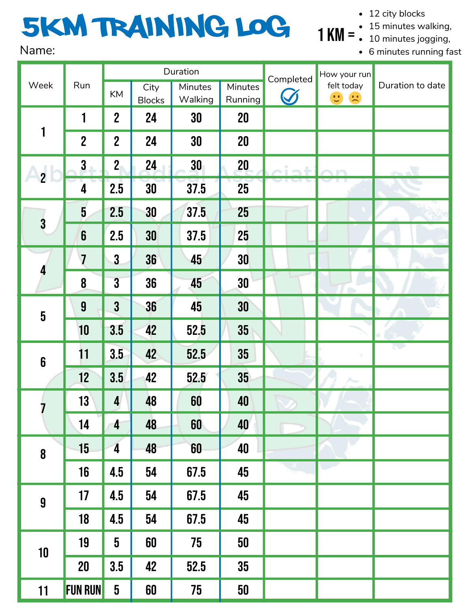## 5km Training Log Name:

• 12 city blocks

minutes walking,

KM =  $\frac{1}{2}$  10 minutes jogging,

minutes running fast

| Week                    | Run              | Duration                |                       |                    |                    | Completed | How your run                                                          |                  |
|-------------------------|------------------|-------------------------|-----------------------|--------------------|--------------------|-----------|-----------------------------------------------------------------------|------------------|
|                         |                  | KM                      | City<br><b>Blocks</b> | Minutes<br>Walking | Minutes<br>Running | S         | felt today<br>$\begin{array}{c} \therefore \\ \therefore \end{array}$ | Duration to date |
| 1                       | 1                | $\overline{2}$          | 24                    | 30                 | 20                 |           |                                                                       |                  |
|                         | $\boldsymbol{2}$ | $\overline{2}$          | 24                    | 30                 | 20                 |           |                                                                       |                  |
| $\overline{2}$          | $\mathbf{3}$     | 2 <sub>1</sub>          | 24                    | 30                 | 20                 | i es      |                                                                       |                  |
|                         | 4                | 2.5                     | 30                    | 37.5               | 25                 |           |                                                                       |                  |
| $\overline{\mathbf{3}}$ | $\overline{5}$   | 2.5                     | 30                    | 37.5               | 25                 |           |                                                                       |                  |
|                         | $\boldsymbol{6}$ | 2.5                     | 30                    | 37.5               | 25                 |           |                                                                       |                  |
| 4                       | $\overline{7}$   | $\mathbf{3}$            | 36                    | 45                 | 30                 |           |                                                                       |                  |
|                         | 8                | $\mathbf{3}$            | 36                    | 45                 | 30                 |           |                                                                       |                  |
| $\overline{\mathbf{5}}$ | $\boldsymbol{9}$ | $\mathbf{3}$            | 36                    | 45                 | 30                 |           |                                                                       |                  |
|                         | 10               | 3.5                     | 42                    | 52.5               | 35                 |           |                                                                       |                  |
| $\boldsymbol{6}$        | 11               | 3.5                     | 42                    | 52.5               | 35                 |           |                                                                       | $\mathcal{L}$    |
|                         | 12               | 3.5                     | 42                    | 52.5               | 35 <sub>2</sub>    |           | $\mathbb{A}_{\text{out}}$                                             |                  |
| I                       | 13               | $\boldsymbol{4}$        | 48                    | 60                 | 40                 |           |                                                                       |                  |
|                         | 14               | 4                       | 48                    | 60                 | 40                 |           |                                                                       |                  |
| 8                       | 15               | $\overline{\mathbf{4}}$ | 48                    | 60                 | 40                 |           |                                                                       |                  |
|                         | 16               | 4.5                     | 54                    | 67.5               | 45                 |           |                                                                       |                  |
| $\boldsymbol{9}$        | 17               | 4.5                     | 54                    | 67.5               | 45                 |           |                                                                       |                  |
|                         | 18               | 4.5                     | 54                    | 67.5               | 45                 |           |                                                                       |                  |
| 10                      | 19               | $\overline{\mathbf{5}}$ | 60                    | 75                 | 50                 |           |                                                                       |                  |
|                         | 20               | 3.5                     | 42                    | 52.5               | 35                 |           |                                                                       |                  |
| 11                      | <b>FUN RUN</b>   | $\overline{\mathbf{5}}$ | 60                    | 75                 | 50                 |           |                                                                       |                  |